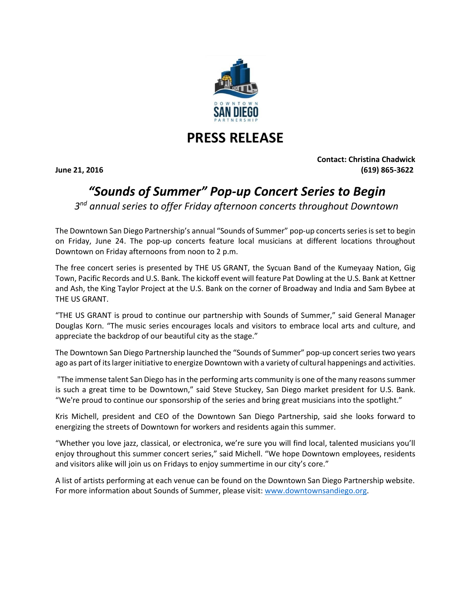

## **PRESS RELEASE**

**Contact: Christina Chadwick June 21, 2016 (619) 865-3622**

## *"Sounds of Summer" Pop-up Concert Series to Begin*

*3 nd annual series to offer Friday afternoon concerts throughout Downtown* 

The Downtown San Diego Partnership's annual "Sounds of Summer" pop-up concerts seriesis set to begin on Friday, June 24. The pop-up concerts feature local musicians at different locations throughout Downtown on Friday afternoons from noon to 2 p.m.

The free concert series is presented by THE US GRANT, the Sycuan Band of the Kumeyaay Nation, Gig Town, Pacific Records and U.S. Bank. The kickoff event will feature Pat Dowling at the U.S. Bank at Kettner and Ash, the King Taylor Project at the U.S. Bank on the corner of Broadway and India and Sam Bybee at THE US GRANT.

"THE US GRANT is proud to continue our partnership with Sounds of Summer," said General Manager Douglas Korn. "The music series encourages locals and visitors to embrace local arts and culture, and appreciate the backdrop of our beautiful city as the stage."

The Downtown San Diego Partnership launched the "Sounds of Summer" pop-up concert series two years ago as part of its larger initiative to energize Downtown with a variety of cultural happenings and activities.

"The immense talent San Diego has in the performing arts community is one of the many reasons summer is such a great time to be Downtown," said Steve Stuckey, San Diego market president for U.S. Bank. "We're proud to continue our sponsorship of the series and bring great musicians into the spotlight."

Kris Michell, president and CEO of the Downtown San Diego Partnership, said she looks forward to energizing the streets of Downtown for workers and residents again this summer.

"Whether you love jazz, classical, or electronica, we're sure you will find local, talented musicians you'll enjoy throughout this summer concert series," said Michell. "We hope Downtown employees, residents and visitors alike will join us on Fridays to enjoy summertime in our city's core."

A list of artists performing at each venue can be found on the Downtown San Diego Partnership website. For more information about Sounds of Summer, please visit: [www.downtownsandiego.org.](http://www.downtownsandiego.org/)